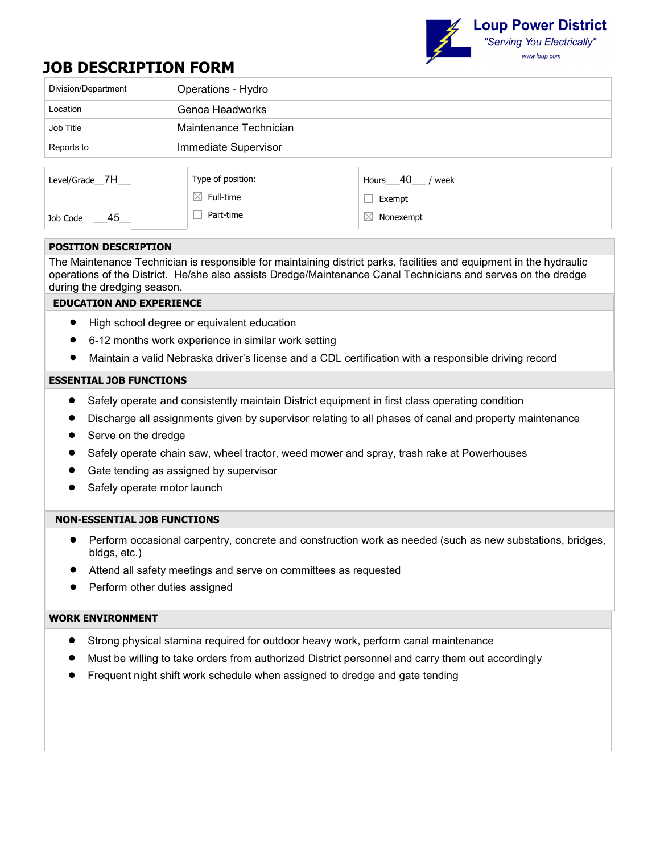

# **JOB DESCRIPTION FORM**

| Division/Department        | Operations - Hydro     |                          |  |  |
|----------------------------|------------------------|--------------------------|--|--|
| Location                   | Genoa Headworks        |                          |  |  |
| Job Title                  | Maintenance Technician |                          |  |  |
| Reports to                 | Immediate Supervisor   |                          |  |  |
|                            |                        |                          |  |  |
| Level/Grade <sub>17H</sub> | Type of position:      | Hours $40$<br>/ week     |  |  |
|                            | $\boxtimes$ Full-time  | Exempt                   |  |  |
| $\frac{45}{1}$<br>Job Code | Part-time              | $\boxtimes$<br>Nonexempt |  |  |

## **POSITION DESCRIPTION**

The Maintenance Technician is responsible for maintaining district parks, facilities and equipment in the hydraulic operations of the District. He/she also assists Dredge/Maintenance Canal Technicians and serves on the dredge during the dredging season.

## **EDUCATION AND EXPERIENCE**

- High school degree or equivalent education
- 6-12 months work experience in similar work setting
- Maintain a valid Nebraska driver's license and a CDL certification with a responsible driving record

#### **ESSENTIAL JOB FUNCTIONS**

- Safely operate and consistently maintain District equipment in first class operating condition
- Discharge all assignments given by supervisor relating to all phases of canal and property maintenance
- Serve on the dredge
- Safely operate chain saw, wheel tractor, weed mower and spray, trash rake at Powerhouses
- Gate tending as assigned by supervisor
- Safely operate motor launch

#### **NON-ESSENTIAL JOB FUNCTIONS**

- Perform occasional carpentry, concrete and construction work as needed (such as new substations, bridges, bldgs, etc.)
- Attend all safety meetings and serve on committees as requested
- Perform other duties assigned

#### **WORK ENVIRONMENT**

- Strong physical stamina required for outdoor heavy work, perform canal maintenance
- Must be willing to take orders from authorized District personnel and carry them out accordingly
- Frequent night shift work schedule when assigned to dredge and gate tending